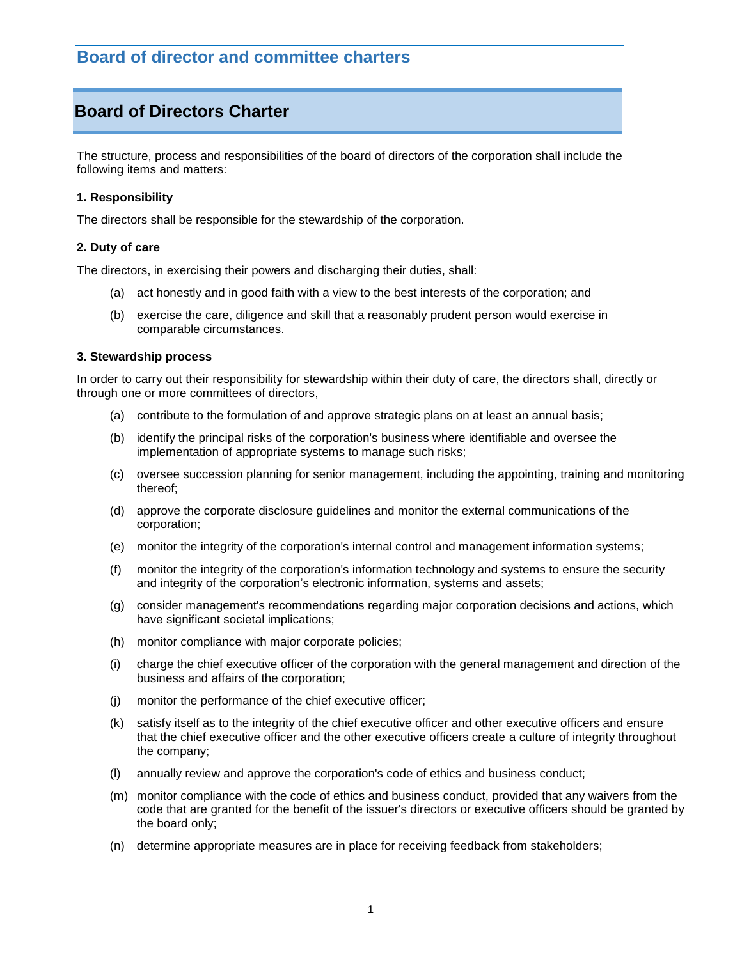# **Board of Directors Charter**

The structure, process and responsibilities of the board of directors of the corporation shall include the following items and matters:

# **1. Responsibility**

The directors shall be responsible for the stewardship of the corporation.

# **2. Duty of care**

The directors, in exercising their powers and discharging their duties, shall:

- (a) act honestly and in good faith with a view to the best interests of the corporation; and
- (b) exercise the care, diligence and skill that a reasonably prudent person would exercise in comparable circumstances.

## **3. Stewardship process**

In order to carry out their responsibility for stewardship within their duty of care, the directors shall, directly or through one or more committees of directors,

- (a) contribute to the formulation of and approve strategic plans on at least an annual basis;
- (b) identify the principal risks of the corporation's business where identifiable and oversee the implementation of appropriate systems to manage such risks;
- (c) oversee succession planning for senior management, including the appointing, training and monitoring thereof;
- (d) approve the corporate disclosure guidelines and monitor the external communications of the corporation;
- (e) monitor the integrity of the corporation's internal control and management information systems;
- (f) monitor the integrity of the corporation's information technology and systems to ensure the security and integrity of the corporation's electronic information, systems and assets;
- (g) consider management's recommendations regarding major corporation decisions and actions, which have significant societal implications;
- (h) monitor compliance with major corporate policies;
- (i) charge the chief executive officer of the corporation with the general management and direction of the business and affairs of the corporation;
- (j) monitor the performance of the chief executive officer;
- (k) satisfy itself as to the integrity of the chief executive officer and other executive officers and ensure that the chief executive officer and the other executive officers create a culture of integrity throughout the company;
- (l) annually review and approve the corporation's code of ethics and business conduct;
- (m) monitor compliance with the code of ethics and business conduct, provided that any waivers from the code that are granted for the benefit of the issuer's directors or executive officers should be granted by the board only;
- (n) determine appropriate measures are in place for receiving feedback from stakeholders;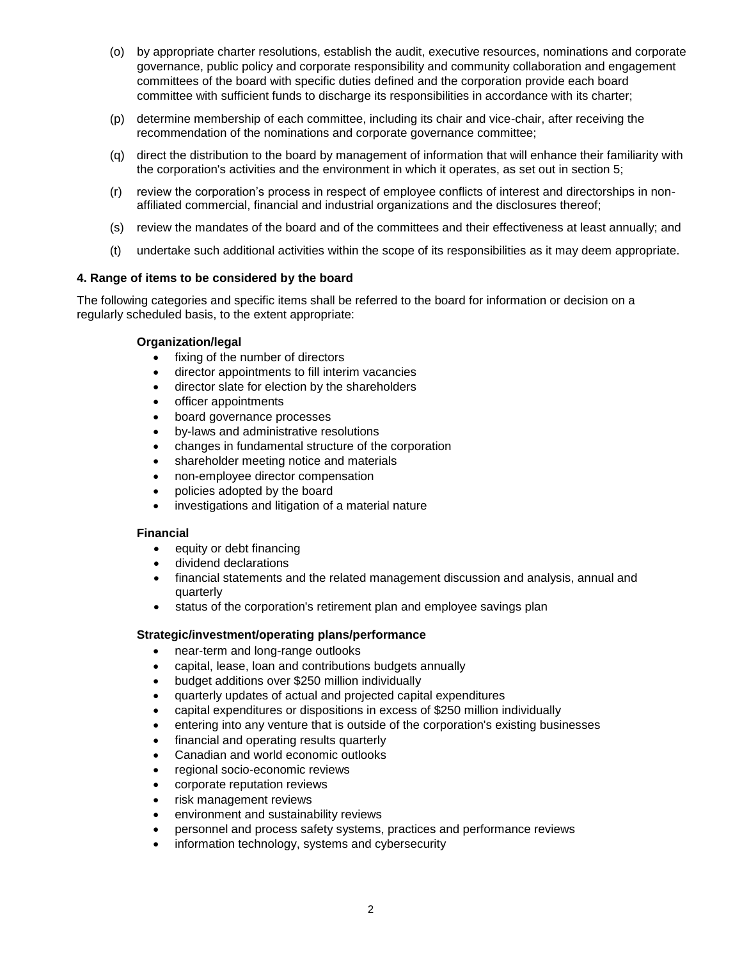- (o) by appropriate charter resolutions, establish the audit, executive resources, nominations and corporate governance, public policy and corporate responsibility and community collaboration and engagement committees of the board with specific duties defined and the corporation provide each board committee with sufficient funds to discharge its responsibilities in accordance with its charter;
- (p) determine membership of each committee, including its chair and vice-chair, after receiving the recommendation of the nominations and corporate governance committee;
- (q) direct the distribution to the board by management of information that will enhance their familiarity with the corporation's activities and the environment in which it operates, as set out in section 5;
- (r) review the corporation's process in respect of employee conflicts of interest and directorships in nonaffiliated commercial, financial and industrial organizations and the disclosures thereof;
- (s) review the mandates of the board and of the committees and their effectiveness at least annually; and
- (t) undertake such additional activities within the scope of its responsibilities as it may deem appropriate.

# **4. Range of items to be considered by the board**

The following categories and specific items shall be referred to the board for information or decision on a regularly scheduled basis, to the extent appropriate:

# **Organization/legal**

- fixing of the number of directors
- director appointments to fill interim vacancies
- director slate for election by the shareholders
- officer appointments
- board governance processes
- by-laws and administrative resolutions
- changes in fundamental structure of the corporation
- shareholder meeting notice and materials
- non-employee director compensation
- policies adopted by the board
- investigations and litigation of a material nature

## **Financial**

- equity or debt financing
- dividend declarations
- financial statements and the related management discussion and analysis, annual and quarterly
- status of the corporation's retirement plan and employee savings plan

## **Strategic/investment/operating plans/performance**

- near-term and long-range outlooks
- capital, lease, loan and contributions budgets annually
- budget additions over \$250 million individually
- quarterly updates of actual and projected capital expenditures
- capital expenditures or dispositions in excess of \$250 million individually
- entering into any venture that is outside of the corporation's existing businesses
- financial and operating results quarterly
- Canadian and world economic outlooks
- regional socio-economic reviews
- corporate reputation reviews
- risk management reviews
- environment and sustainability reviews
- personnel and process safety systems, practices and performance reviews
- information technology, systems and cybersecurity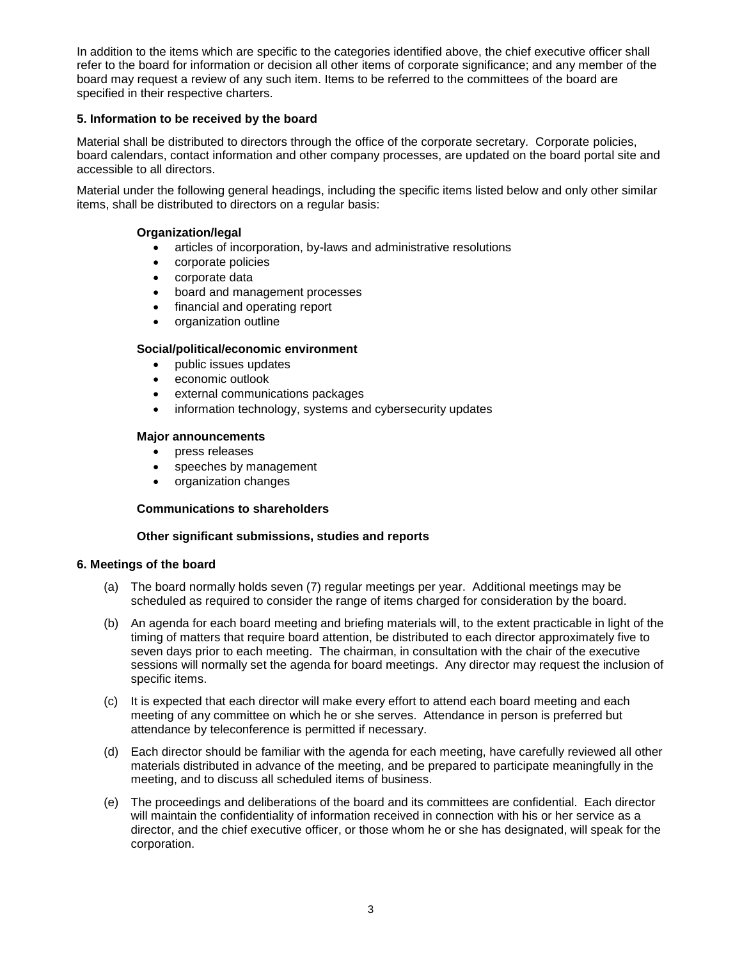In addition to the items which are specific to the categories identified above, the chief executive officer shall refer to the board for information or decision all other items of corporate significance; and any member of the board may request a review of any such item. Items to be referred to the committees of the board are specified in their respective charters.

# **5. Information to be received by the board**

Material shall be distributed to directors through the office of the corporate secretary. Corporate policies, board calendars, contact information and other company processes, are updated on the board portal site and accessible to all directors.

Material under the following general headings, including the specific items listed below and only other similar items, shall be distributed to directors on a regular basis:

# **Organization/legal**

- articles of incorporation, by-laws and administrative resolutions
- corporate policies
- corporate data
- board and management processes
- financial and operating report
- organization outline

# **Social/political/economic environment**

- public issues updates
- economic outlook
- external communications packages
- information technology, systems and cybersecurity updates

## **Major announcements**

- press releases
- speeches by management
- organization changes

## **Communications to shareholders**

## **Other significant submissions, studies and reports**

## **6. Meetings of the board**

- (a) The board normally holds seven (7) regular meetings per year. Additional meetings may be scheduled as required to consider the range of items charged for consideration by the board.
- (b) An agenda for each board meeting and briefing materials will, to the extent practicable in light of the timing of matters that require board attention, be distributed to each director approximately five to seven days prior to each meeting. The chairman, in consultation with the chair of the executive sessions will normally set the agenda for board meetings. Any director may request the inclusion of specific items.
- (c) It is expected that each director will make every effort to attend each board meeting and each meeting of any committee on which he or she serves. Attendance in person is preferred but attendance by teleconference is permitted if necessary.
- (d) Each director should be familiar with the agenda for each meeting, have carefully reviewed all other materials distributed in advance of the meeting, and be prepared to participate meaningfully in the meeting, and to discuss all scheduled items of business.
- (e) The proceedings and deliberations of the board and its committees are confidential. Each director will maintain the confidentiality of information received in connection with his or her service as a director, and the chief executive officer, or those whom he or she has designated, will speak for the corporation.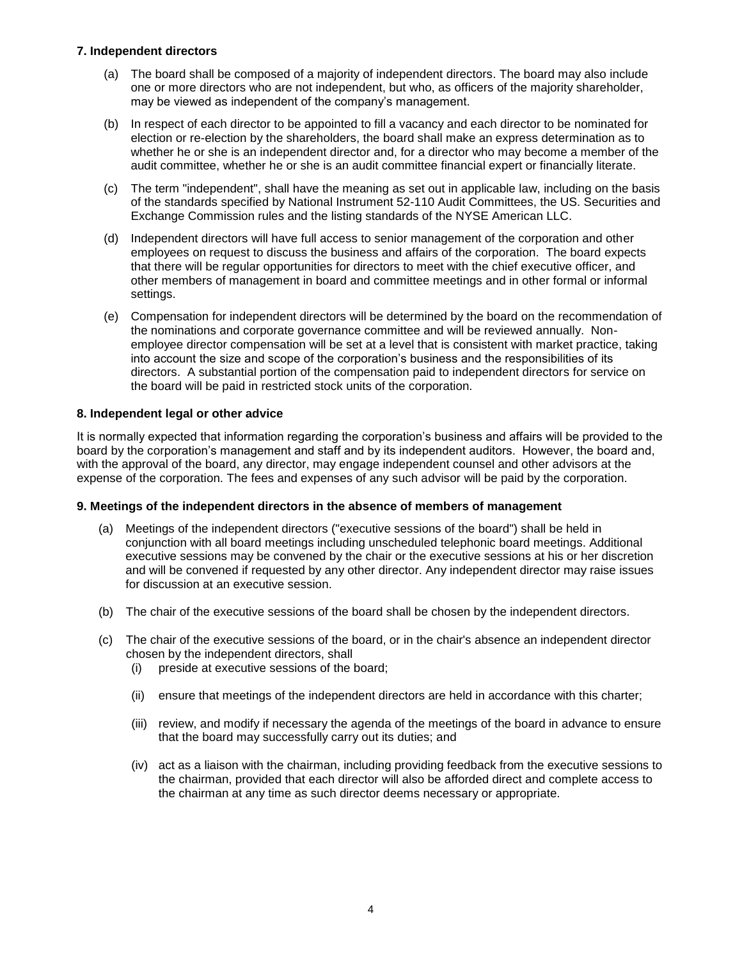# **7. Independent directors**

- (a) The board shall be composed of a majority of independent directors. The board may also include one or more directors who are not independent, but who, as officers of the majority shareholder, may be viewed as independent of the company's management.
- (b) In respect of each director to be appointed to fill a vacancy and each director to be nominated for election or re-election by the shareholders, the board shall make an express determination as to whether he or she is an independent director and, for a director who may become a member of the audit committee, whether he or she is an audit committee financial expert or financially literate.
- (c) The term "independent", shall have the meaning as set out in applicable law, including on the basis of the standards specified by National Instrument 52-110 Audit Committees, the US. Securities and Exchange Commission rules and the listing standards of the NYSE American LLC.
- (d) Independent directors will have full access to senior management of the corporation and other employees on request to discuss the business and affairs of the corporation. The board expects that there will be regular opportunities for directors to meet with the chief executive officer, and other members of management in board and committee meetings and in other formal or informal settings.
- (e) Compensation for independent directors will be determined by the board on the recommendation of the nominations and corporate governance committee and will be reviewed annually. Nonemployee director compensation will be set at a level that is consistent with market practice, taking into account the size and scope of the corporation's business and the responsibilities of its directors. A substantial portion of the compensation paid to independent directors for service on the board will be paid in restricted stock units of the corporation.

# **8. Independent legal or other advice**

It is normally expected that information regarding the corporation's business and affairs will be provided to the board by the corporation's management and staff and by its independent auditors. However, the board and, with the approval of the board, any director, may engage independent counsel and other advisors at the expense of the corporation. The fees and expenses of any such advisor will be paid by the corporation.

## **9. Meetings of the independent directors in the absence of members of management**

- (a) Meetings of the independent directors ("executive sessions of the board") shall be held in conjunction with all board meetings including unscheduled telephonic board meetings. Additional executive sessions may be convened by the chair or the executive sessions at his or her discretion and will be convened if requested by any other director. Any independent director may raise issues for discussion at an executive session.
- (b) The chair of the executive sessions of the board shall be chosen by the independent directors.
- (c) The chair of the executive sessions of the board, or in the chair's absence an independent director chosen by the independent directors, shall
	- (i) preside at executive sessions of the board;
	- (ii) ensure that meetings of the independent directors are held in accordance with this charter;
	- (iii) review, and modify if necessary the agenda of the meetings of the board in advance to ensure that the board may successfully carry out its duties; and
	- (iv) act as a liaison with the chairman, including providing feedback from the executive sessions to the chairman, provided that each director will also be afforded direct and complete access to the chairman at any time as such director deems necessary or appropriate.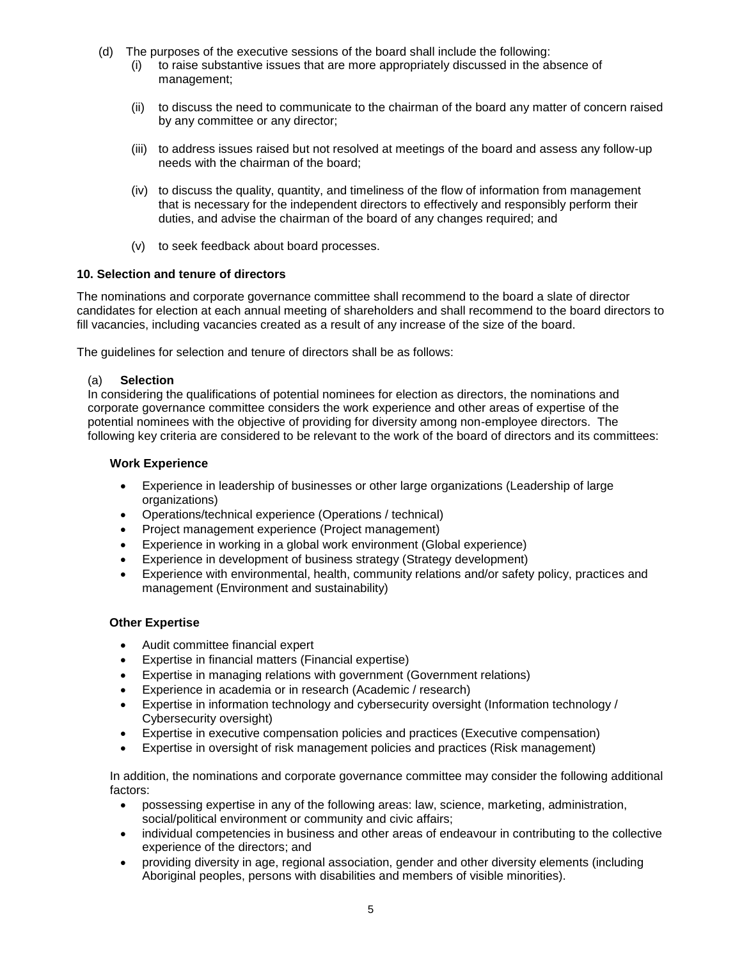- (d) The purposes of the executive sessions of the board shall include the following:
	- (i) to raise substantive issues that are more appropriately discussed in the absence of management;
	- (ii) to discuss the need to communicate to the chairman of the board any matter of concern raised by any committee or any director;
	- (iii) to address issues raised but not resolved at meetings of the board and assess any follow-up needs with the chairman of the board;
	- (iv) to discuss the quality, quantity, and timeliness of the flow of information from management that is necessary for the independent directors to effectively and responsibly perform their duties, and advise the chairman of the board of any changes required; and
	- (v) to seek feedback about board processes.

## **10. Selection and tenure of directors**

The nominations and corporate governance committee shall recommend to the board a slate of director candidates for election at each annual meeting of shareholders and shall recommend to the board directors to fill vacancies, including vacancies created as a result of any increase of the size of the board.

The guidelines for selection and tenure of directors shall be as follows:

# (a) **Selection**

In considering the qualifications of potential nominees for election as directors, the nominations and corporate governance committee considers the work experience and other areas of expertise of the potential nominees with the objective of providing for diversity among non-employee directors. The following key criteria are considered to be relevant to the work of the board of directors and its committees:

# **Work Experience**

- Experience in leadership of businesses or other large organizations (Leadership of large organizations)
- Operations/technical experience (Operations / technical)
- Project management experience (Project management)
- Experience in working in a global work environment (Global experience)
- Experience in development of business strategy (Strategy development)
- Experience with environmental, health, community relations and/or safety policy, practices and management (Environment and sustainability)

## **Other Expertise**

- Audit committee financial expert
- Expertise in financial matters (Financial expertise)
- Expertise in managing relations with government (Government relations)
- Experience in academia or in research (Academic / research)
- Expertise in information technology and cybersecurity oversight (Information technology / Cybersecurity oversight)
- Expertise in executive compensation policies and practices (Executive compensation)
- Expertise in oversight of risk management policies and practices (Risk management)

In addition, the nominations and corporate governance committee may consider the following additional factors:

- possessing expertise in any of the following areas: law, science, marketing, administration, social/political environment or community and civic affairs;
- individual competencies in business and other areas of endeavour in contributing to the collective experience of the directors; and
- providing diversity in age, regional association, gender and other diversity elements (including Aboriginal peoples, persons with disabilities and members of visible minorities).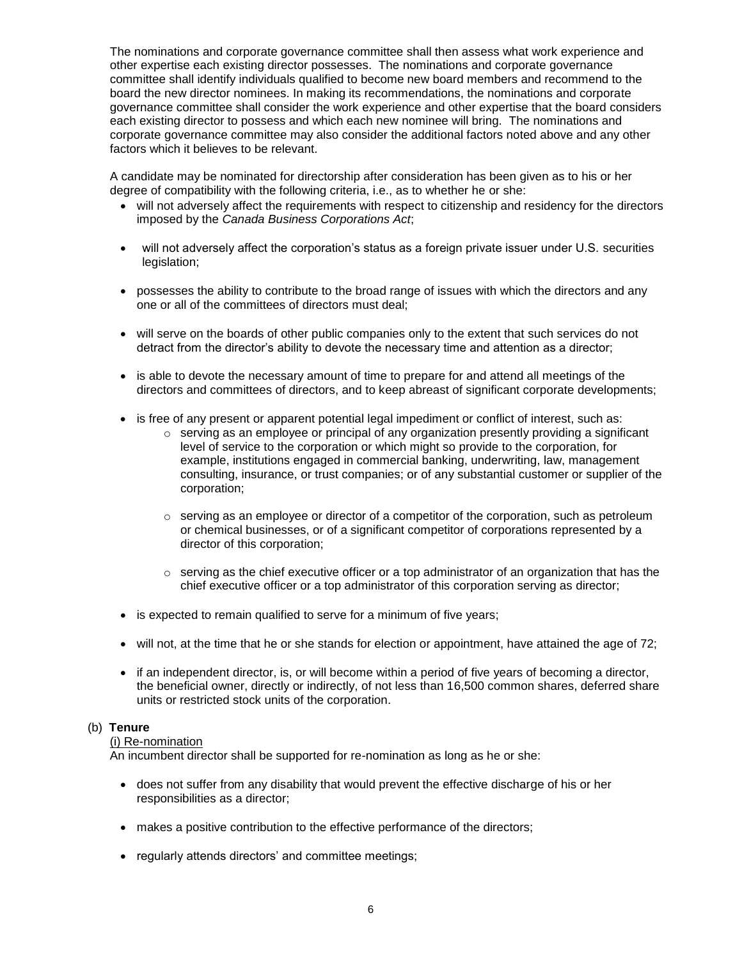The nominations and corporate governance committee shall then assess what work experience and other expertise each existing director possesses. The nominations and corporate governance committee shall identify individuals qualified to become new board members and recommend to the board the new director nominees. In making its recommendations, the nominations and corporate governance committee shall consider the work experience and other expertise that the board considers each existing director to possess and which each new nominee will bring. The nominations and corporate governance committee may also consider the additional factors noted above and any other factors which it believes to be relevant.

A candidate may be nominated for directorship after consideration has been given as to his or her degree of compatibility with the following criteria, i.e., as to whether he or she:

- will not adversely affect the requirements with respect to citizenship and residency for the directors imposed by the *Canada Business Corporations Act*;
- will not adversely affect the corporation's status as a foreign private issuer under U.S. securities legislation;
- possesses the ability to contribute to the broad range of issues with which the directors and any one or all of the committees of directors must deal;
- will serve on the boards of other public companies only to the extent that such services do not detract from the director's ability to devote the necessary time and attention as a director;
- is able to devote the necessary amount of time to prepare for and attend all meetings of the directors and committees of directors, and to keep abreast of significant corporate developments;
- is free of any present or apparent potential legal impediment or conflict of interest, such as:
	- $\circ$  serving as an employee or principal of any organization presently providing a significant level of service to the corporation or which might so provide to the corporation, for example, institutions engaged in commercial banking, underwriting, law, management consulting, insurance, or trust companies; or of any substantial customer or supplier of the corporation;
	- $\circ$  serving as an employee or director of a competitor of the corporation, such as petroleum or chemical businesses, or of a significant competitor of corporations represented by a director of this corporation;
	- $\circ$  serving as the chief executive officer or a top administrator of an organization that has the chief executive officer or a top administrator of this corporation serving as director;
- is expected to remain qualified to serve for a minimum of five years;
- will not, at the time that he or she stands for election or appointment, have attained the age of 72;
- if an independent director, is, or will become within a period of five years of becoming a director, the beneficial owner, directly or indirectly, of not less than 16,500 common shares, deferred share units or restricted stock units of the corporation.

## (b) **Tenure**

## (i) Re-nomination

An incumbent director shall be supported for re-nomination as long as he or she:

- does not suffer from any disability that would prevent the effective discharge of his or her responsibilities as a director;
- makes a positive contribution to the effective performance of the directors;
- regularly attends directors' and committee meetings;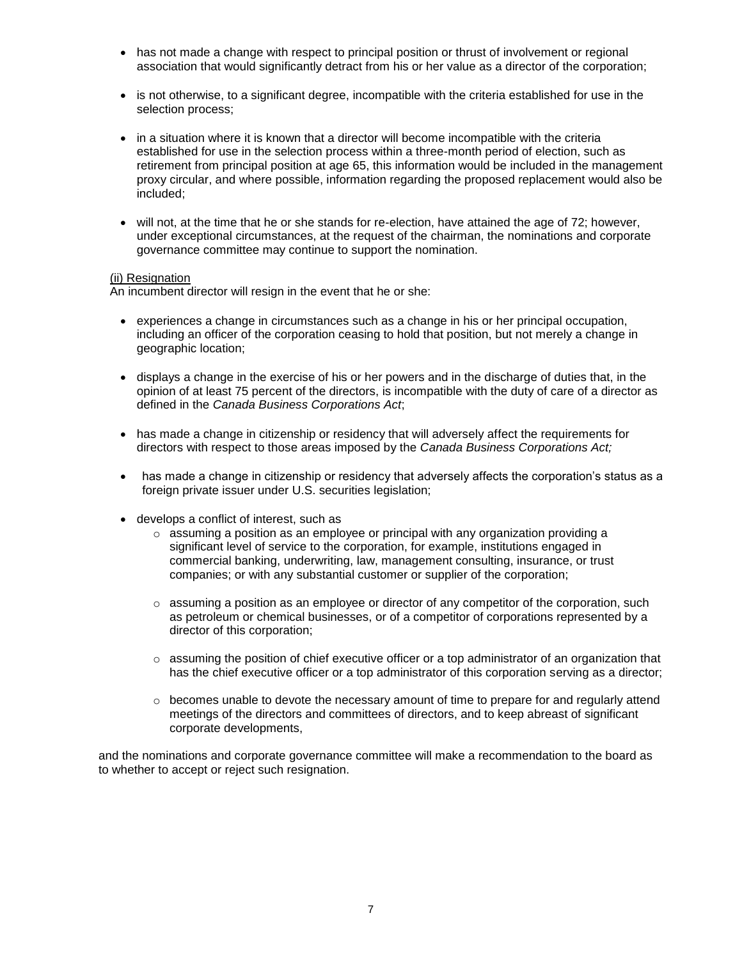- has not made a change with respect to principal position or thrust of involvement or regional association that would significantly detract from his or her value as a director of the corporation;
- is not otherwise, to a significant degree, incompatible with the criteria established for use in the selection process;
- in a situation where it is known that a director will become incompatible with the criteria established for use in the selection process within a three-month period of election, such as retirement from principal position at age 65, this information would be included in the management proxy circular, and where possible, information regarding the proposed replacement would also be included;
- will not, at the time that he or she stands for re-election, have attained the age of 72; however, under exceptional circumstances, at the request of the chairman, the nominations and corporate governance committee may continue to support the nomination.

# (ii) Resignation

An incumbent director will resign in the event that he or she:

- experiences a change in circumstances such as a change in his or her principal occupation, including an officer of the corporation ceasing to hold that position, but not merely a change in geographic location;
- displays a change in the exercise of his or her powers and in the discharge of duties that, in the opinion of at least 75 percent of the directors, is incompatible with the duty of care of a director as defined in the *Canada Business Corporations Act*;
- has made a change in citizenship or residency that will adversely affect the requirements for directors with respect to those areas imposed by the *Canada Business Corporations Act;*
- has made a change in citizenship or residency that adversely affects the corporation's status as a foreign private issuer under U.S. securities legislation;
- develops a conflict of interest, such as
	- $\circ$  assuming a position as an employee or principal with any organization providing a significant level of service to the corporation, for example, institutions engaged in commercial banking, underwriting, law, management consulting, insurance, or trust companies; or with any substantial customer or supplier of the corporation;
	- $\circ$  assuming a position as an employee or director of any competitor of the corporation, such as petroleum or chemical businesses, or of a competitor of corporations represented by a director of this corporation;
	- $\circ$  assuming the position of chief executive officer or a top administrator of an organization that has the chief executive officer or a top administrator of this corporation serving as a director;
	- $\circ$  becomes unable to devote the necessary amount of time to prepare for and regularly attend meetings of the directors and committees of directors, and to keep abreast of significant corporate developments,

and the nominations and corporate governance committee will make a recommendation to the board as to whether to accept or reject such resignation.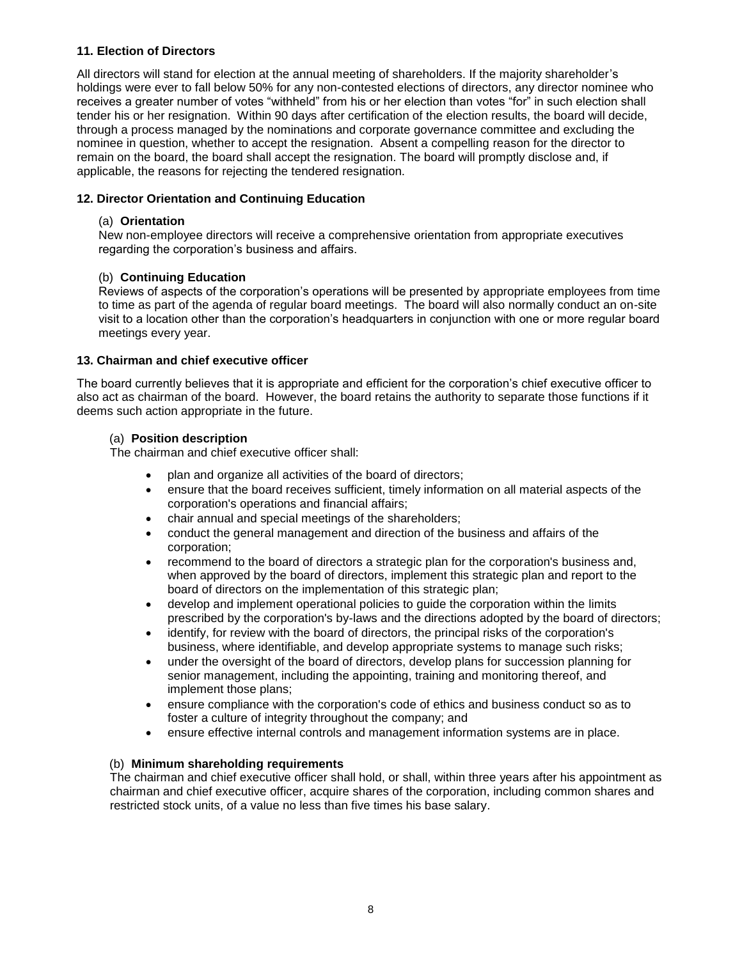# **11. Election of Directors**

All directors will stand for election at the annual meeting of shareholders. If the majority shareholder's holdings were ever to fall below 50% for any non-contested elections of directors, any director nominee who receives a greater number of votes "withheld" from his or her election than votes "for" in such election shall tender his or her resignation. Within 90 days after certification of the election results, the board will decide, through a process managed by the nominations and corporate governance committee and excluding the nominee in question, whether to accept the resignation. Absent a compelling reason for the director to remain on the board, the board shall accept the resignation. The board will promptly disclose and, if applicable, the reasons for rejecting the tendered resignation.

# **12. Director Orientation and Continuing Education**

# (a) **Orientation**

New non-employee directors will receive a comprehensive orientation from appropriate executives regarding the corporation's business and affairs.

# (b) **Continuing Education**

Reviews of aspects of the corporation's operations will be presented by appropriate employees from time to time as part of the agenda of regular board meetings. The board will also normally conduct an on-site visit to a location other than the corporation's headquarters in conjunction with one or more regular board meetings every year.

# **13. Chairman and chief executive officer**

The board currently believes that it is appropriate and efficient for the corporation's chief executive officer to also act as chairman of the board. However, the board retains the authority to separate those functions if it deems such action appropriate in the future.

# (a) **Position description**

The chairman and chief executive officer shall:

- plan and organize all activities of the board of directors;
- ensure that the board receives sufficient, timely information on all material aspects of the corporation's operations and financial affairs;
- chair annual and special meetings of the shareholders;
- conduct the general management and direction of the business and affairs of the corporation;
- recommend to the board of directors a strategic plan for the corporation's business and, when approved by the board of directors, implement this strategic plan and report to the board of directors on the implementation of this strategic plan;
- develop and implement operational policies to guide the corporation within the limits prescribed by the corporation's by-laws and the directions adopted by the board of directors;
- identify, for review with the board of directors, the principal risks of the corporation's business, where identifiable, and develop appropriate systems to manage such risks;
- under the oversight of the board of directors, develop plans for succession planning for senior management, including the appointing, training and monitoring thereof, and implement those plans;
- ensure compliance with the corporation's code of ethics and business conduct so as to foster a culture of integrity throughout the company; and
- ensure effective internal controls and management information systems are in place.

# (b) **Minimum shareholding requirements**

The chairman and chief executive officer shall hold, or shall, within three years after his appointment as chairman and chief executive officer, acquire shares of the corporation, including common shares and restricted stock units, of a value no less than five times his base salary.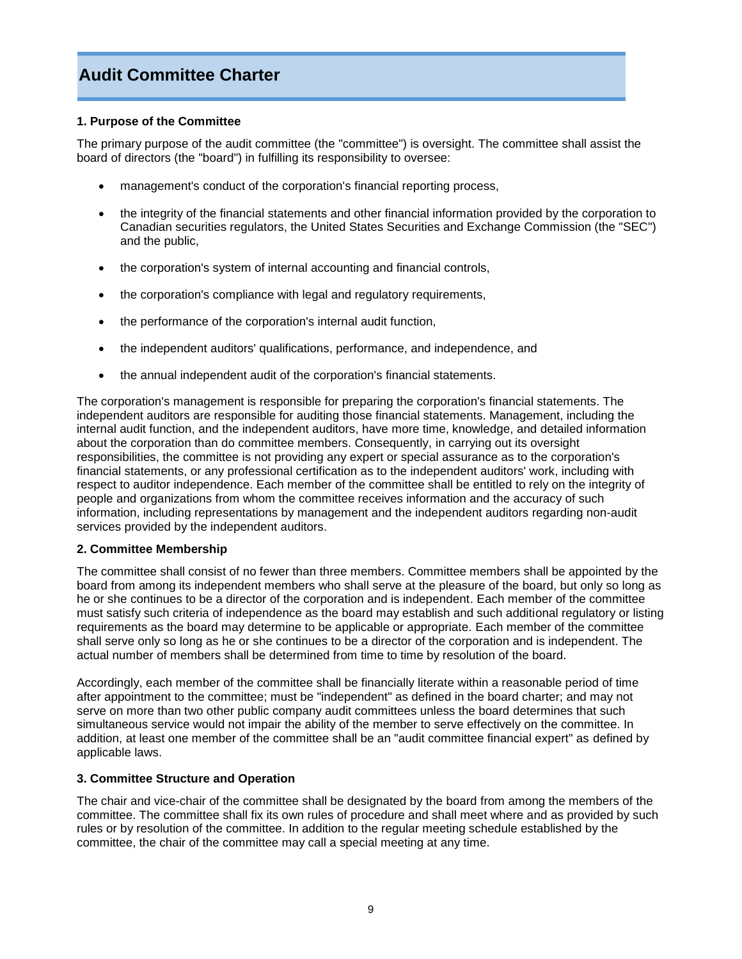# **Audit Committee Charter**

## **1. Purpose of the Committee**

The primary purpose of the audit committee (the "committee") is oversight. The committee shall assist the board of directors (the "board") in fulfilling its responsibility to oversee:

- management's conduct of the corporation's financial reporting process,
- the integrity of the financial statements and other financial information provided by the corporation to Canadian securities regulators, the United States Securities and Exchange Commission (the "SEC") and the public,
- the corporation's system of internal accounting and financial controls,
- the corporation's compliance with legal and regulatory requirements,
- the performance of the corporation's internal audit function,
- the independent auditors' qualifications, performance, and independence, and
- the annual independent audit of the corporation's financial statements.

The corporation's management is responsible for preparing the corporation's financial statements. The independent auditors are responsible for auditing those financial statements. Management, including the internal audit function, and the independent auditors, have more time, knowledge, and detailed information about the corporation than do committee members. Consequently, in carrying out its oversight responsibilities, the committee is not providing any expert or special assurance as to the corporation's financial statements, or any professional certification as to the independent auditors' work, including with respect to auditor independence. Each member of the committee shall be entitled to rely on the integrity of people and organizations from whom the committee receives information and the accuracy of such information, including representations by management and the independent auditors regarding non-audit services provided by the independent auditors.

## **2. Committee Membership**

The committee shall consist of no fewer than three members. Committee members shall be appointed by the board from among its independent members who shall serve at the pleasure of the board, but only so long as he or she continues to be a director of the corporation and is independent. Each member of the committee must satisfy such criteria of independence as the board may establish and such additional regulatory or listing requirements as the board may determine to be applicable or appropriate. Each member of the committee shall serve only so long as he or she continues to be a director of the corporation and is independent. The actual number of members shall be determined from time to time by resolution of the board.

Accordingly, each member of the committee shall be financially literate within a reasonable period of time after appointment to the committee; must be "independent" as defined in the board charter; and may not serve on more than two other public company audit committees unless the board determines that such simultaneous service would not impair the ability of the member to serve effectively on the committee. In addition, at least one member of the committee shall be an "audit committee financial expert" as defined by applicable laws.

## **3. Committee Structure and Operation**

The chair and vice-chair of the committee shall be designated by the board from among the members of the committee. The committee shall fix its own rules of procedure and shall meet where and as provided by such rules or by resolution of the committee. In addition to the regular meeting schedule established by the committee, the chair of the committee may call a special meeting at any time.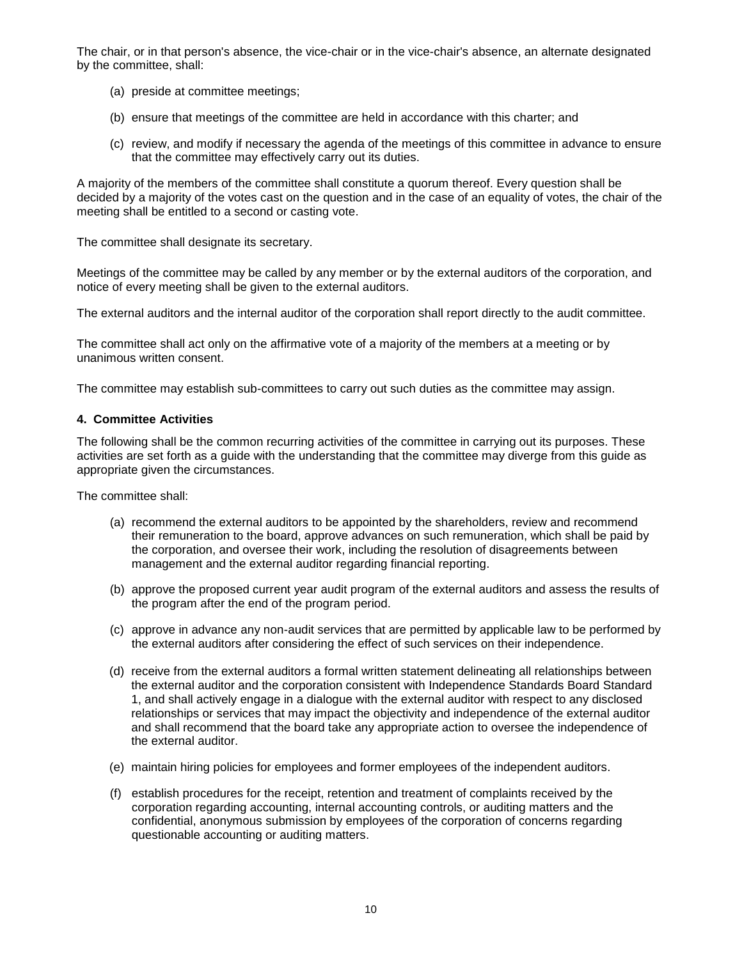The chair, or in that person's absence, the vice-chair or in the vice-chair's absence, an alternate designated by the committee, shall:

- (a) preside at committee meetings;
- (b) ensure that meetings of the committee are held in accordance with this charter; and
- (c) review, and modify if necessary the agenda of the meetings of this committee in advance to ensure that the committee may effectively carry out its duties.

A majority of the members of the committee shall constitute a quorum thereof. Every question shall be decided by a majority of the votes cast on the question and in the case of an equality of votes, the chair of the meeting shall be entitled to a second or casting vote.

The committee shall designate its secretary.

Meetings of the committee may be called by any member or by the external auditors of the corporation, and notice of every meeting shall be given to the external auditors.

The external auditors and the internal auditor of the corporation shall report directly to the audit committee.

The committee shall act only on the affirmative vote of a majority of the members at a meeting or by unanimous written consent.

The committee may establish sub-committees to carry out such duties as the committee may assign.

## **4. Committee Activities**

The following shall be the common recurring activities of the committee in carrying out its purposes. These activities are set forth as a guide with the understanding that the committee may diverge from this guide as appropriate given the circumstances.

- (a) recommend the external auditors to be appointed by the shareholders, review and recommend their remuneration to the board, approve advances on such remuneration, which shall be paid by the corporation, and oversee their work, including the resolution of disagreements between management and the external auditor regarding financial reporting.
- (b) approve the proposed current year audit program of the external auditors and assess the results of the program after the end of the program period.
- (c) approve in advance any non-audit services that are permitted by applicable law to be performed by the external auditors after considering the effect of such services on their independence.
- (d) receive from the external auditors a formal written statement delineating all relationships between the external auditor and the corporation consistent with Independence Standards Board Standard 1, and shall actively engage in a dialogue with the external auditor with respect to any disclosed relationships or services that may impact the objectivity and independence of the external auditor and shall recommend that the board take any appropriate action to oversee the independence of the external auditor.
- (e) maintain hiring policies for employees and former employees of the independent auditors.
- (f) establish procedures for the receipt, retention and treatment of complaints received by the corporation regarding accounting, internal accounting controls, or auditing matters and the confidential, anonymous submission by employees of the corporation of concerns regarding questionable accounting or auditing matters.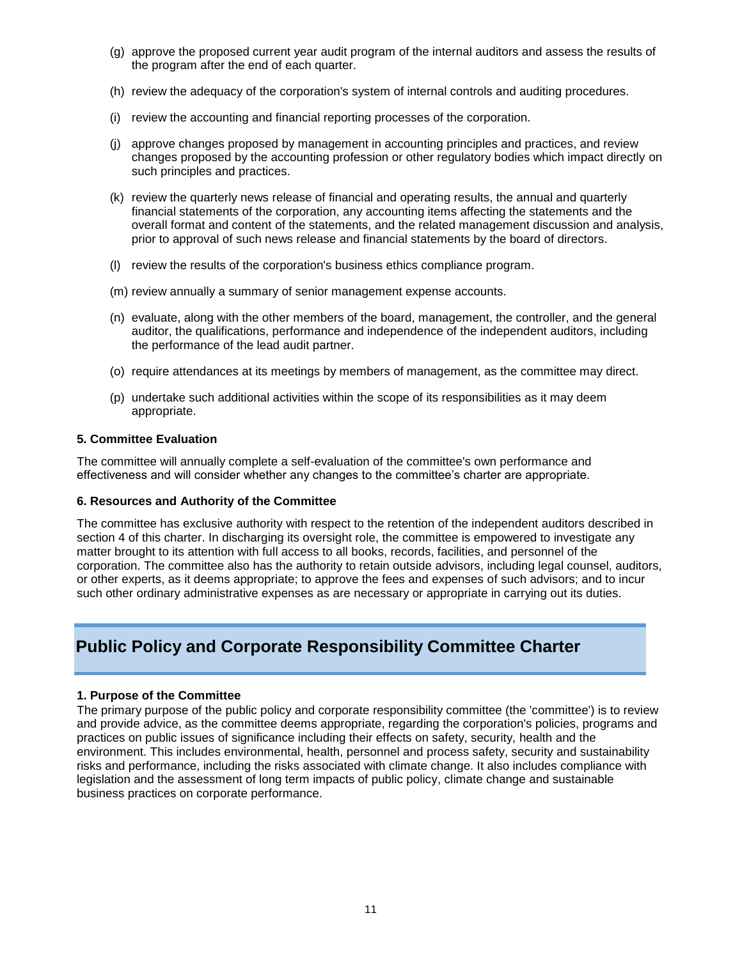- (g) approve the proposed current year audit program of the internal auditors and assess the results of the program after the end of each quarter.
- (h) review the adequacy of the corporation's system of internal controls and auditing procedures.
- (i) review the accounting and financial reporting processes of the corporation.
- (j) approve changes proposed by management in accounting principles and practices, and review changes proposed by the accounting profession or other regulatory bodies which impact directly on such principles and practices.
- (k) review the quarterly news release of financial and operating results, the annual and quarterly financial statements of the corporation, any accounting items affecting the statements and the overall format and content of the statements, and the related management discussion and analysis, prior to approval of such news release and financial statements by the board of directors.
- (l) review the results of the corporation's business ethics compliance program.
- (m) review annually a summary of senior management expense accounts.
- (n) evaluate, along with the other members of the board, management, the controller, and the general auditor, the qualifications, performance and independence of the independent auditors, including the performance of the lead audit partner.
- (o) require attendances at its meetings by members of management, as the committee may direct.
- (p) undertake such additional activities within the scope of its responsibilities as it may deem appropriate.

The committee will annually complete a self-evaluation of the committee's own performance and effectiveness and will consider whether any changes to the committee's charter are appropriate.

## **6. Resources and Authority of the Committee**

The committee has exclusive authority with respect to the retention of the independent auditors described in section 4 of this charter. In discharging its oversight role, the committee is empowered to investigate any matter brought to its attention with full access to all books, records, facilities, and personnel of the corporation. The committee also has the authority to retain outside advisors, including legal counsel, auditors, or other experts, as it deems appropriate; to approve the fees and expenses of such advisors; and to incur such other ordinary administrative expenses as are necessary or appropriate in carrying out its duties.

# **Public Policy and Corporate Responsibility Committee Charter**

# **1. Purpose of the Committee**

The primary purpose of the public policy and corporate responsibility committee (the 'committee') is to review and provide advice, as the committee deems appropriate, regarding the corporation's policies, programs and practices on public issues of significance including their effects on safety, security, health and the environment. This includes environmental, health, personnel and process safety, security and sustainability risks and performance, including the risks associated with climate change. It also includes compliance with legislation and the assessment of long term impacts of public policy, climate change and sustainable business practices on corporate performance.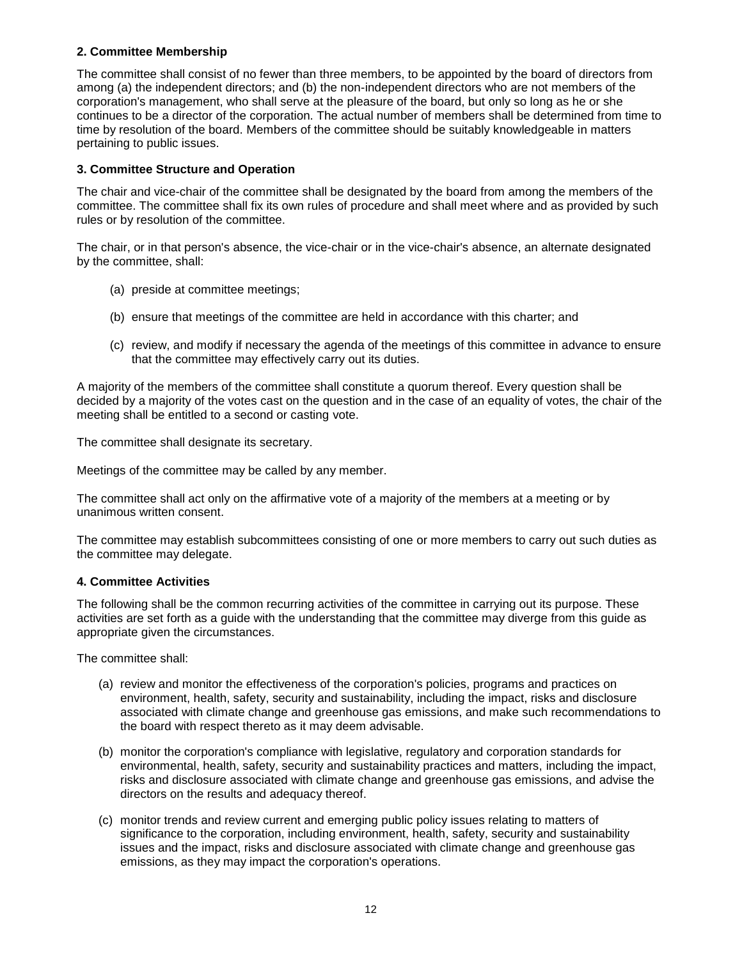# **2. Committee Membership**

The committee shall consist of no fewer than three members, to be appointed by the board of directors from among (a) the independent directors; and (b) the non-independent directors who are not members of the corporation's management, who shall serve at the pleasure of the board, but only so long as he or she continues to be a director of the corporation. The actual number of members shall be determined from time to time by resolution of the board. Members of the committee should be suitably knowledgeable in matters pertaining to public issues.

# **3. Committee Structure and Operation**

The chair and vice-chair of the committee shall be designated by the board from among the members of the committee. The committee shall fix its own rules of procedure and shall meet where and as provided by such rules or by resolution of the committee.

The chair, or in that person's absence, the vice-chair or in the vice-chair's absence, an alternate designated by the committee, shall:

- (a) preside at committee meetings;
- (b) ensure that meetings of the committee are held in accordance with this charter; and
- (c) review, and modify if necessary the agenda of the meetings of this committee in advance to ensure that the committee may effectively carry out its duties.

A majority of the members of the committee shall constitute a quorum thereof. Every question shall be decided by a majority of the votes cast on the question and in the case of an equality of votes, the chair of the meeting shall be entitled to a second or casting vote.

The committee shall designate its secretary.

Meetings of the committee may be called by any member.

The committee shall act only on the affirmative vote of a majority of the members at a meeting or by unanimous written consent.

The committee may establish subcommittees consisting of one or more members to carry out such duties as the committee may delegate.

## **4. Committee Activities**

The following shall be the common recurring activities of the committee in carrying out its purpose. These activities are set forth as a guide with the understanding that the committee may diverge from this guide as appropriate given the circumstances.

- (a) review and monitor the effectiveness of the corporation's policies, programs and practices on environment, health, safety, security and sustainability, including the impact, risks and disclosure associated with climate change and greenhouse gas emissions, and make such recommendations to the board with respect thereto as it may deem advisable.
- (b) monitor the corporation's compliance with legislative, regulatory and corporation standards for environmental, health, safety, security and sustainability practices and matters, including the impact, risks and disclosure associated with climate change and greenhouse gas emissions, and advise the directors on the results and adequacy thereof.
- (c) monitor trends and review current and emerging public policy issues relating to matters of significance to the corporation, including environment, health, safety, security and sustainability issues and the impact, risks and disclosure associated with climate change and greenhouse gas emissions, as they may impact the corporation's operations.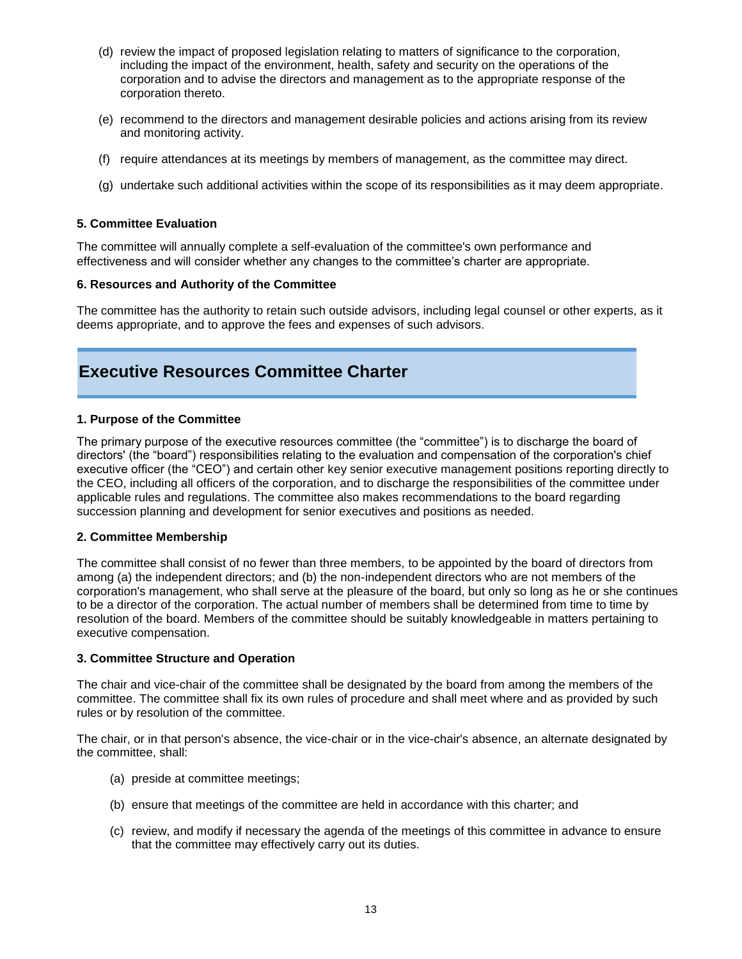- (d) review the impact of proposed legislation relating to matters of significance to the corporation, including the impact of the environment, health, safety and security on the operations of the corporation and to advise the directors and management as to the appropriate response of the corporation thereto.
- (e) recommend to the directors and management desirable policies and actions arising from its review and monitoring activity.
- (f) require attendances at its meetings by members of management, as the committee may direct.
- (g) undertake such additional activities within the scope of its responsibilities as it may deem appropriate.

The committee will annually complete a self-evaluation of the committee's own performance and effectiveness and will consider whether any changes to the committee's charter are appropriate.

## **6. Resources and Authority of the Committee**

The committee has the authority to retain such outside advisors, including legal counsel or other experts, as it deems appropriate, and to approve the fees and expenses of such advisors.

# **Executive Resources Committee Charter**

## **1. Purpose of the Committee**

The primary purpose of the executive resources committee (the "committee") is to discharge the board of directors' (the "board") responsibilities relating to the evaluation and compensation of the corporation's chief executive officer (the "CEO") and certain other key senior executive management positions reporting directly to the CEO, including all officers of the corporation, and to discharge the responsibilities of the committee under applicable rules and regulations. The committee also makes recommendations to the board regarding succession planning and development for senior executives and positions as needed.

## **2. Committee Membership**

The committee shall consist of no fewer than three members, to be appointed by the board of directors from among (a) the independent directors; and (b) the non-independent directors who are not members of the corporation's management, who shall serve at the pleasure of the board, but only so long as he or she continues to be a director of the corporation. The actual number of members shall be determined from time to time by resolution of the board. Members of the committee should be suitably knowledgeable in matters pertaining to executive compensation.

## **3. Committee Structure and Operation**

The chair and vice-chair of the committee shall be designated by the board from among the members of the committee. The committee shall fix its own rules of procedure and shall meet where and as provided by such rules or by resolution of the committee.

The chair, or in that person's absence, the vice-chair or in the vice-chair's absence, an alternate designated by the committee, shall:

- (a) preside at committee meetings;
- (b) ensure that meetings of the committee are held in accordance with this charter; and
- (c) review, and modify if necessary the agenda of the meetings of this committee in advance to ensure that the committee may effectively carry out its duties.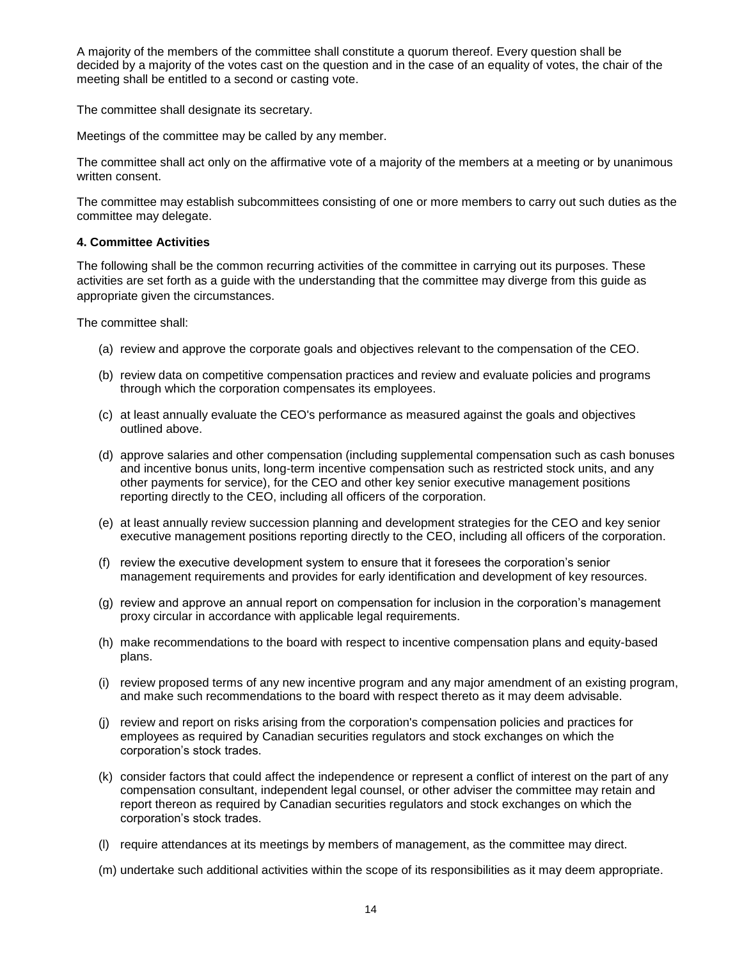A majority of the members of the committee shall constitute a quorum thereof. Every question shall be decided by a majority of the votes cast on the question and in the case of an equality of votes, the chair of the meeting shall be entitled to a second or casting vote.

The committee shall designate its secretary.

Meetings of the committee may be called by any member.

The committee shall act only on the affirmative vote of a majority of the members at a meeting or by unanimous written consent.

The committee may establish subcommittees consisting of one or more members to carry out such duties as the committee may delegate.

# **4. Committee Activities**

The following shall be the common recurring activities of the committee in carrying out its purposes. These activities are set forth as a guide with the understanding that the committee may diverge from this guide as appropriate given the circumstances.

- (a) review and approve the corporate goals and objectives relevant to the compensation of the CEO.
- (b) review data on competitive compensation practices and review and evaluate policies and programs through which the corporation compensates its employees.
- (c) at least annually evaluate the CEO's performance as measured against the goals and objectives outlined above.
- (d) approve salaries and other compensation (including supplemental compensation such as cash bonuses and incentive bonus units, long-term incentive compensation such as restricted stock units, and any other payments for service), for the CEO and other key senior executive management positions reporting directly to the CEO, including all officers of the corporation.
- (e) at least annually review succession planning and development strategies for the CEO and key senior executive management positions reporting directly to the CEO, including all officers of the corporation.
- (f) review the executive development system to ensure that it foresees the corporation's senior management requirements and provides for early identification and development of key resources.
- (g) review and approve an annual report on compensation for inclusion in the corporation's management proxy circular in accordance with applicable legal requirements.
- (h) make recommendations to the board with respect to incentive compensation plans and equity-based plans.
- (i) review proposed terms of any new incentive program and any major amendment of an existing program, and make such recommendations to the board with respect thereto as it may deem advisable.
- (j) review and report on risks arising from the corporation's compensation policies and practices for employees as required by Canadian securities regulators and stock exchanges on which the corporation's stock trades.
- (k) consider factors that could affect the independence or represent a conflict of interest on the part of any compensation consultant, independent legal counsel, or other adviser the committee may retain and report thereon as required by Canadian securities regulators and stock exchanges on which the corporation's stock trades.
- (l) require attendances at its meetings by members of management, as the committee may direct.
- (m) undertake such additional activities within the scope of its responsibilities as it may deem appropriate.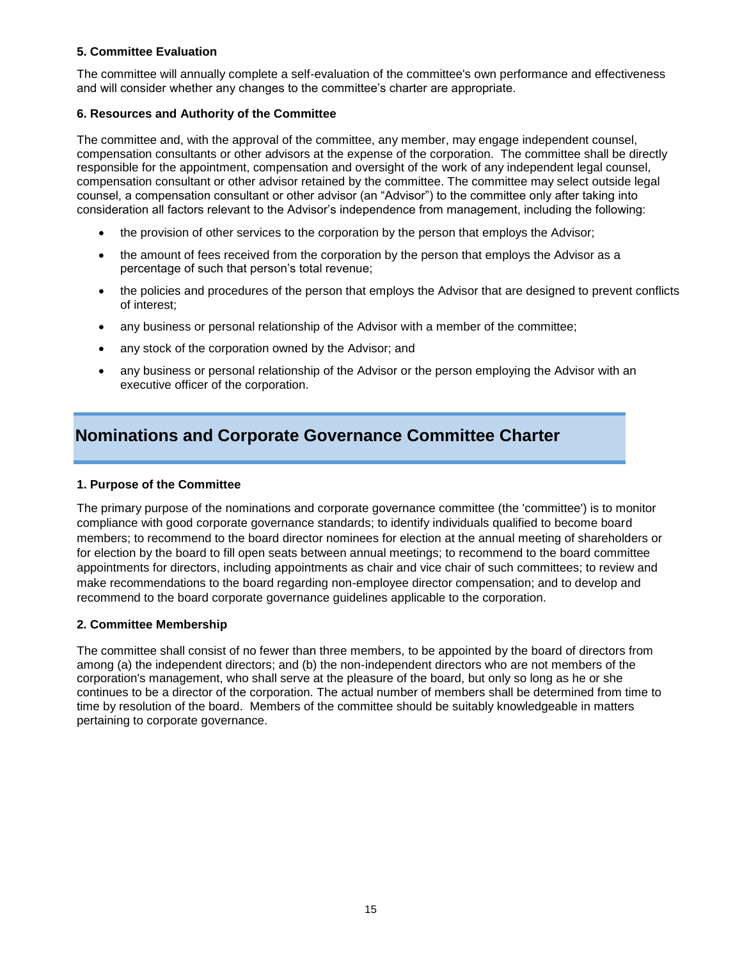The committee will annually complete a self-evaluation of the committee's own performance and effectiveness and will consider whether any changes to the committee's charter are appropriate.

# **6. Resources and Authority of the Committee**

The committee and, with the approval of the committee, any member, may engage independent counsel, compensation consultants or other advisors at the expense of the corporation. The committee shall be directly responsible for the appointment, compensation and oversight of the work of any independent legal counsel, compensation consultant or other advisor retained by the committee. The committee may select outside legal counsel, a compensation consultant or other advisor (an "Advisor") to the committee only after taking into consideration all factors relevant to the Advisor's independence from management, including the following:

- the provision of other services to the corporation by the person that employs the Advisor;
- the amount of fees received from the corporation by the person that employs the Advisor as a percentage of such that person's total revenue;
- the policies and procedures of the person that employs the Advisor that are designed to prevent conflicts of interest;
- any business or personal relationship of the Advisor with a member of the committee;
- any stock of the corporation owned by the Advisor; and
- any business or personal relationship of the Advisor or the person employing the Advisor with an executive officer of the corporation.

# **Nominations and Corporate Governance Committee Charter**

# **1. Purpose of the Committee**

The primary purpose of the nominations and corporate governance committee (the 'committee') is to monitor compliance with good corporate governance standards; to identify individuals qualified to become board members; to recommend to the board director nominees for election at the annual meeting of shareholders or for election by the board to fill open seats between annual meetings; to recommend to the board committee appointments for directors, including appointments as chair and vice chair of such committees; to review and make recommendations to the board regarding non-employee director compensation; and to develop and recommend to the board corporate governance guidelines applicable to the corporation.

# **2. Committee Membership**

The committee shall consist of no fewer than three members, to be appointed by the board of directors from among (a) the independent directors; and (b) the non-independent directors who are not members of the corporation's management, who shall serve at the pleasure of the board, but only so long as he or she continues to be a director of the corporation. The actual number of members shall be determined from time to time by resolution of the board. Members of the committee should be suitably knowledgeable in matters pertaining to corporate governance.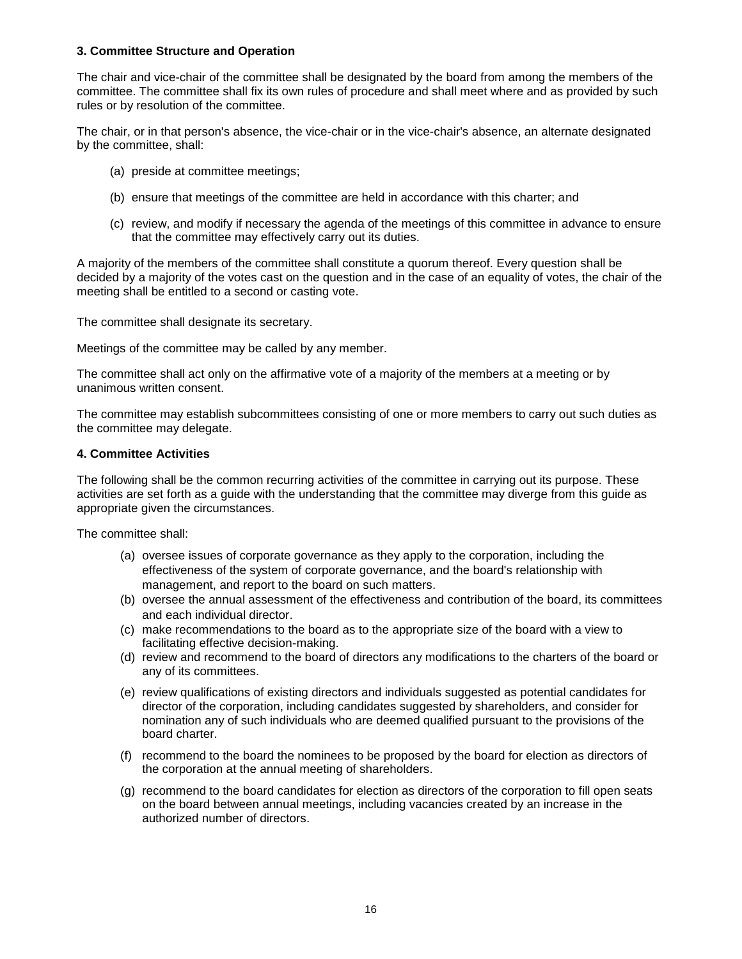# **3. Committee Structure and Operation**

The chair and vice-chair of the committee shall be designated by the board from among the members of the committee. The committee shall fix its own rules of procedure and shall meet where and as provided by such rules or by resolution of the committee.

The chair, or in that person's absence, the vice-chair or in the vice-chair's absence, an alternate designated by the committee, shall:

- (a) preside at committee meetings;
- (b) ensure that meetings of the committee are held in accordance with this charter; and
- (c) review, and modify if necessary the agenda of the meetings of this committee in advance to ensure that the committee may effectively carry out its duties.

A majority of the members of the committee shall constitute a quorum thereof. Every question shall be decided by a majority of the votes cast on the question and in the case of an equality of votes, the chair of the meeting shall be entitled to a second or casting vote.

The committee shall designate its secretary.

Meetings of the committee may be called by any member.

The committee shall act only on the affirmative vote of a majority of the members at a meeting or by unanimous written consent.

The committee may establish subcommittees consisting of one or more members to carry out such duties as the committee may delegate.

## **4. Committee Activities**

The following shall be the common recurring activities of the committee in carrying out its purpose. These activities are set forth as a guide with the understanding that the committee may diverge from this guide as appropriate given the circumstances.

- (a) oversee issues of corporate governance as they apply to the corporation, including the effectiveness of the system of corporate governance, and the board's relationship with management, and report to the board on such matters.
- (b) oversee the annual assessment of the effectiveness and contribution of the board, its committees and each individual director.
- (c) make recommendations to the board as to the appropriate size of the board with a view to facilitating effective decision-making.
- (d) review and recommend to the board of directors any modifications to the charters of the board or any of its committees.
- (e) review qualifications of existing directors and individuals suggested as potential candidates for director of the corporation, including candidates suggested by shareholders, and consider for nomination any of such individuals who are deemed qualified pursuant to the provisions of the board charter.
- (f) recommend to the board the nominees to be proposed by the board for election as directors of the corporation at the annual meeting of shareholders.
- (g) recommend to the board candidates for election as directors of the corporation to fill open seats on the board between annual meetings, including vacancies created by an increase in the authorized number of directors.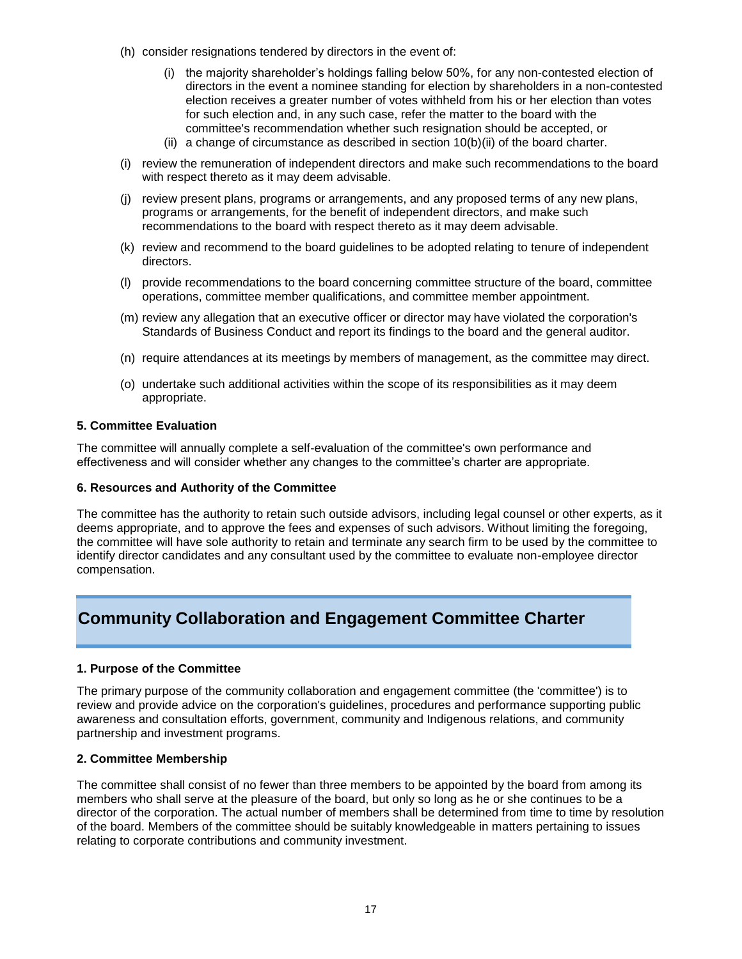- (h) consider resignations tendered by directors in the event of:
	- (i) the majority shareholder's holdings falling below 50%, for any non-contested election of directors in the event a nominee standing for election by shareholders in a non-contested election receives a greater number of votes withheld from his or her election than votes for such election and, in any such case, refer the matter to the board with the committee's recommendation whether such resignation should be accepted, or
	- (ii) a change of circumstance as described in section 10(b)(ii) of the board charter.
- (i) review the remuneration of independent directors and make such recommendations to the board with respect thereto as it may deem advisable.
- (j) review present plans, programs or arrangements, and any proposed terms of any new plans, programs or arrangements, for the benefit of independent directors, and make such recommendations to the board with respect thereto as it may deem advisable.
- (k) review and recommend to the board guidelines to be adopted relating to tenure of independent directors.
- (l) provide recommendations to the board concerning committee structure of the board, committee operations, committee member qualifications, and committee member appointment.
- (m) review any allegation that an executive officer or director may have violated the corporation's Standards of Business Conduct and report its findings to the board and the general auditor.
- (n) require attendances at its meetings by members of management, as the committee may direct.
- (o) undertake such additional activities within the scope of its responsibilities as it may deem appropriate.

The committee will annually complete a self-evaluation of the committee's own performance and effectiveness and will consider whether any changes to the committee's charter are appropriate.

## **6. Resources and Authority of the Committee**

The committee has the authority to retain such outside advisors, including legal counsel or other experts, as it deems appropriate, and to approve the fees and expenses of such advisors. Without limiting the foregoing, the committee will have sole authority to retain and terminate any search firm to be used by the committee to identify director candidates and any consultant used by the committee to evaluate non-employee director compensation.

# **Community Collaboration and Engagement Committee Charter**

## **1. Purpose of the Committee**

The primary purpose of the community collaboration and engagement committee (the 'committee') is to review and provide advice on the corporation's guidelines, procedures and performance supporting public awareness and consultation efforts, government, community and Indigenous relations, and community partnership and investment programs.

## **2. Committee Membership**

The committee shall consist of no fewer than three members to be appointed by the board from among its members who shall serve at the pleasure of the board, but only so long as he or she continues to be a director of the corporation. The actual number of members shall be determined from time to time by resolution of the board. Members of the committee should be suitably knowledgeable in matters pertaining to issues relating to corporate contributions and community investment.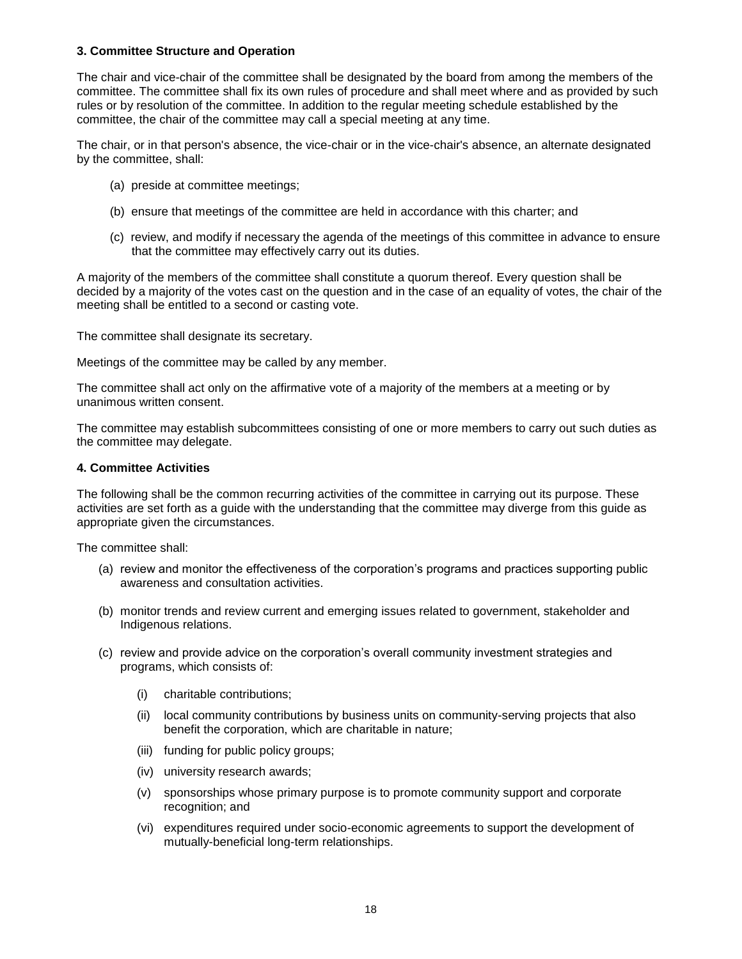## **3. Committee Structure and Operation**

The chair and vice-chair of the committee shall be designated by the board from among the members of the committee. The committee shall fix its own rules of procedure and shall meet where and as provided by such rules or by resolution of the committee. In addition to the regular meeting schedule established by the committee, the chair of the committee may call a special meeting at any time.

The chair, or in that person's absence, the vice-chair or in the vice-chair's absence, an alternate designated by the committee, shall:

- (a) preside at committee meetings;
- (b) ensure that meetings of the committee are held in accordance with this charter; and
- (c) review, and modify if necessary the agenda of the meetings of this committee in advance to ensure that the committee may effectively carry out its duties.

A majority of the members of the committee shall constitute a quorum thereof. Every question shall be decided by a majority of the votes cast on the question and in the case of an equality of votes, the chair of the meeting shall be entitled to a second or casting vote.

The committee shall designate its secretary.

Meetings of the committee may be called by any member.

The committee shall act only on the affirmative vote of a majority of the members at a meeting or by unanimous written consent.

The committee may establish subcommittees consisting of one or more members to carry out such duties as the committee may delegate.

# **4. Committee Activities**

The following shall be the common recurring activities of the committee in carrying out its purpose. These activities are set forth as a guide with the understanding that the committee may diverge from this guide as appropriate given the circumstances.

- (a) review and monitor the effectiveness of the corporation's programs and practices supporting public awareness and consultation activities.
- (b) monitor trends and review current and emerging issues related to government, stakeholder and Indigenous relations.
- (c) review and provide advice on the corporation's overall community investment strategies and programs, which consists of:
	- (i) charitable contributions;
	- (ii) local community contributions by business units on community-serving projects that also benefit the corporation, which are charitable in nature;
	- (iii) funding for public policy groups;
	- (iv) university research awards;
	- (v) sponsorships whose primary purpose is to promote community support and corporate recognition; and
	- (vi) expenditures required under socio-economic agreements to support the development of mutually-beneficial long-term relationships.